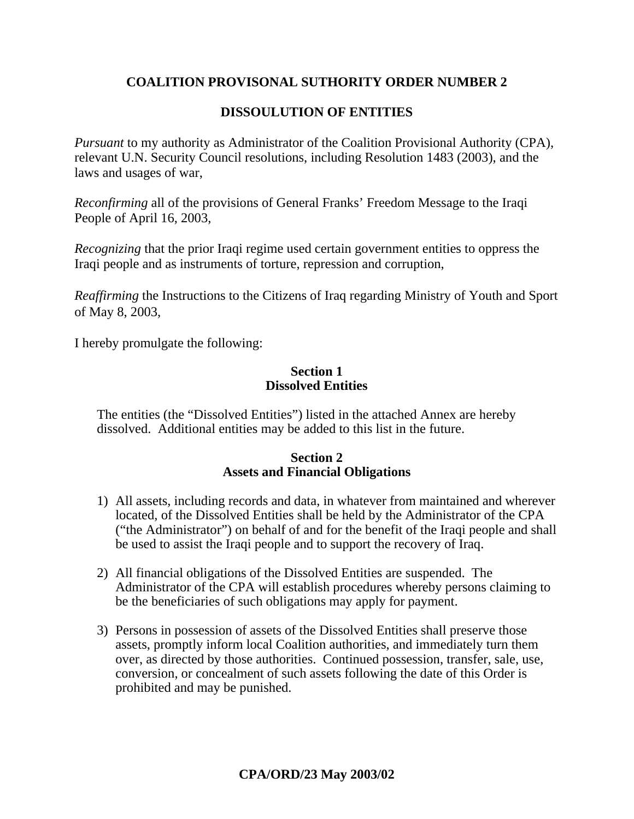# **COALITION PROVISONAL SUTHORITY ORDER NUMBER 2**

# **DISSOULUTION OF ENTITIES**

*Pursuant* to my authority as Administrator of the Coalition Provisional Authority (CPA), relevant U.N. Security Council resolutions, including Resolution 1483 (2003), and the laws and usages of war,

*Reconfirming* all of the provisions of General Franks' Freedom Message to the Iraqi People of April 16, 2003,

*Recognizing* that the prior Iraqi regime used certain government entities to oppress the Iraqi people and as instruments of torture, repression and corruption,

*Reaffirming* the Instructions to the Citizens of Iraq regarding Ministry of Youth and Sport of May 8, 2003,

I hereby promulgate the following:

#### **Section 1 Dissolved Entities**

The entities (the "Dissolved Entities") listed in the attached Annex are hereby dissolved. Additional entities may be added to this list in the future.

# **Section 2 Assets and Financial Obligations**

- 1) All assets, including records and data, in whatever from maintained and wherever located, of the Dissolved Entities shall be held by the Administrator of the CPA ("the Administrator") on behalf of and for the benefit of the Iraqi people and shall be used to assist the Iraqi people and to support the recovery of Iraq.
- 2) All financial obligations of the Dissolved Entities are suspended. The Administrator of the CPA will establish procedures whereby persons claiming to be the beneficiaries of such obligations may apply for payment.
- 3) Persons in possession of assets of the Dissolved Entities shall preserve those assets, promptly inform local Coalition authorities, and immediately turn them over, as directed by those authorities. Continued possession, transfer, sale, use, conversion, or concealment of such assets following the date of this Order is prohibited and may be punished.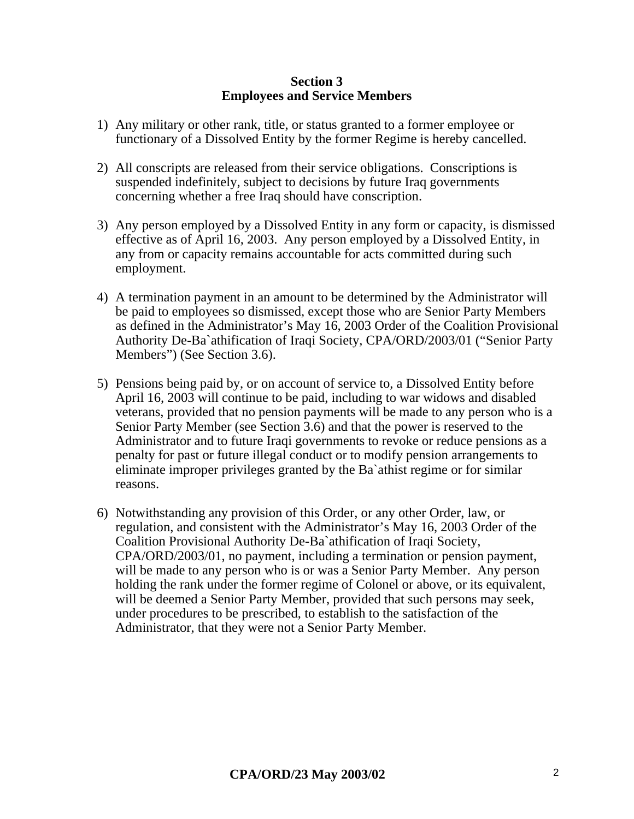#### **Section 3 Employees and Service Members**

- 1) Any military or other rank, title, or status granted to a former employee or functionary of a Dissolved Entity by the former Regime is hereby cancelled.
- 2) All conscripts are released from their service obligations. Conscriptions is suspended indefinitely, subject to decisions by future Iraq governments concerning whether a free Iraq should have conscription.
- 3) Any person employed by a Dissolved Entity in any form or capacity, is dismissed effective as of April 16, 2003. Any person employed by a Dissolved Entity, in any from or capacity remains accountable for acts committed during such employment.
- 4) A termination payment in an amount to be determined by the Administrator will be paid to employees so dismissed, except those who are Senior Party Members as defined in the Administrator's May 16, 2003 Order of the Coalition Provisional Authority De-Ba`athification of Iraqi Society, CPA/ORD/2003/01 ("Senior Party Members") (See Section 3.6).
- 5) Pensions being paid by, or on account of service to, a Dissolved Entity before April 16, 2003 will continue to be paid, including to war widows and disabled veterans, provided that no pension payments will be made to any person who is a Senior Party Member (see Section 3.6) and that the power is reserved to the Administrator and to future Iraqi governments to revoke or reduce pensions as a penalty for past or future illegal conduct or to modify pension arrangements to eliminate improper privileges granted by the Ba`athist regime or for similar reasons.
- 6) Notwithstanding any provision of this Order, or any other Order, law, or regulation, and consistent with the Administrator's May 16, 2003 Order of the Coalition Provisional Authority De-Ba`athification of Iraqi Society, CPA/ORD/2003/01, no payment, including a termination or pension payment, will be made to any person who is or was a Senior Party Member. Any person holding the rank under the former regime of Colonel or above, or its equivalent, will be deemed a Senior Party Member, provided that such persons may seek, under procedures to be prescribed, to establish to the satisfaction of the Administrator, that they were not a Senior Party Member.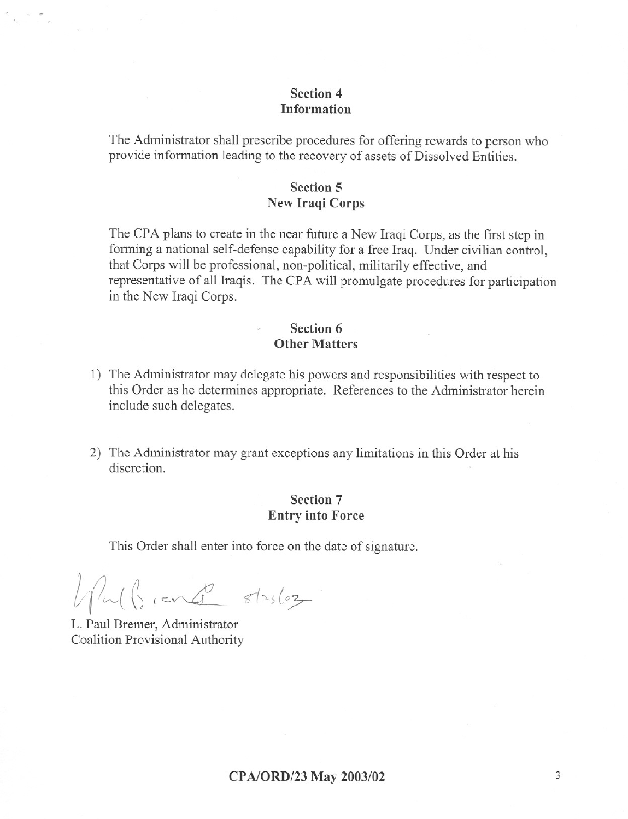## Section 4 **Information**

The Administrator shall prescribe procedures for offering rewards to person who provide information leading to the recovery of assets of Dissolved Entities.

### **Section 5 New Iraqi Corps**

The CPA plans to create in the near future a New Iraqi Corps, as the first step in forming a national self-defense capability for a free Iraq. Under civilian control. that Corps will be professional, non-political, militarily effective, and representative of all Iraqis. The CPA will promulgate procedures for participation in the New Iraqi Corps.

#### Section 6 **Other Matters**

- 1) The Administrator may delegate his powers and responsibilities with respect to this Order as he determines appropriate. References to the Administrator herein include such delegates.
- 2) The Administrator may grant exceptions any limitations in this Order at his discretion

### Section 7 **Entry into Force**

This Order shall enter into force on the date of signature.

What Breaks stables

L. Paul Bremer, Administrator Coalition Provisional Authority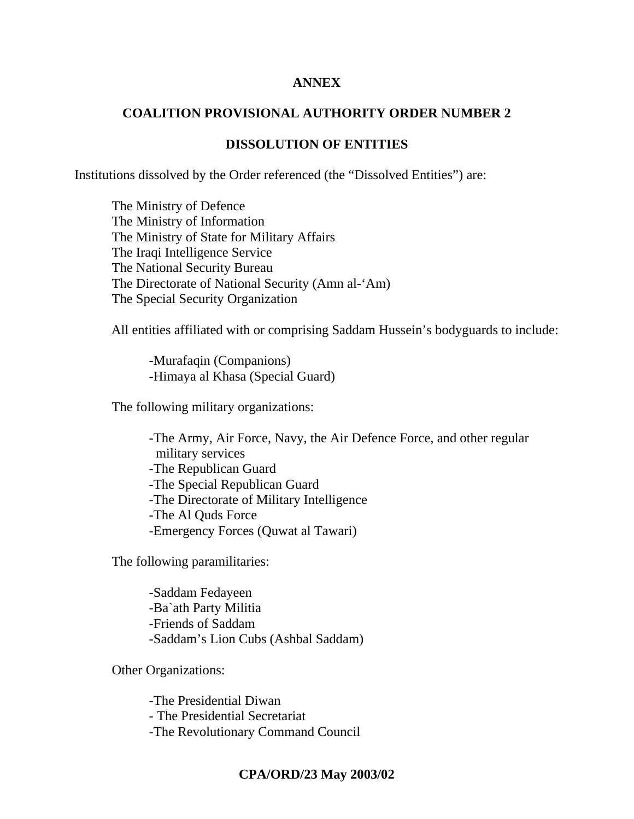## **ANNEX**

# **COALITION PROVISIONAL AUTHORITY ORDER NUMBER 2**

# **DISSOLUTION OF ENTITIES**

Institutions dissolved by the Order referenced (the "Dissolved Entities") are:

 The Ministry of Defence The Ministry of Information The Ministry of State for Military Affairs The Iraqi Intelligence Service The National Security Bureau The Directorate of National Security (Amn al-'Am) The Special Security Organization

All entities affiliated with or comprising Saddam Hussein's bodyguards to include:

 -Murafaqin (Companions) -Himaya al Khasa (Special Guard)

The following military organizations:

 -The Army, Air Force, Navy, the Air Defence Force, and other regular military services -The Republican Guard -The Special Republican Guard -The Directorate of Military Intelligence -The Al Quds Force -Emergency Forces (Quwat al Tawari)

The following paramilitaries:

 -Saddam Fedayeen -Ba`ath Party Militia -Friends of Saddam -Saddam's Lion Cubs (Ashbal Saddam)

Other Organizations:

 -The Presidential Diwan - The Presidential Secretariat -The Revolutionary Command Council

# **CPA/ORD/23 May 2003/02**